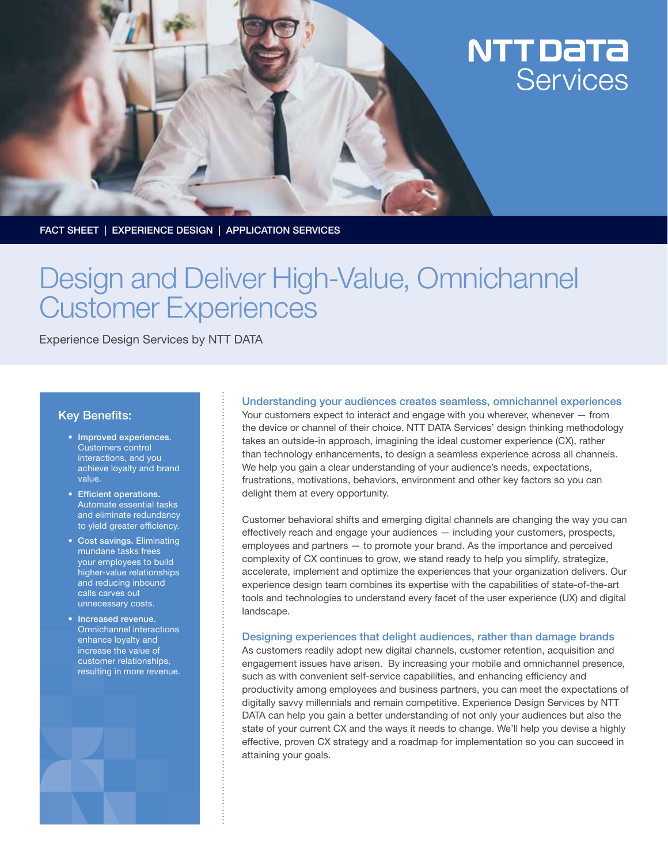# NTT DaTa Services

FACT SHEET | EXPERIENCE DESIGN | APPLICATION SERVICES

# Design and Deliver High-Value, Omnichannel Customer Experiences

Experience Design Services by NTT DATA

## Key Benefits:

- Improved experiences. Customers control interactions, and you achieve loyalty and brand value.
- • Efficient operations. Automate essential tasks and eliminate redundancy to yield greater efficiency.
- Cost savings. Eliminating mundane tasks frees your employees to build higher-value relationships and reducing inbound calls carves out unnecessary costs.
- Increased revenue. Omnichannel interactions enhance loyalty and increase the value of customer relationships, resulting in more revenue.



#### Understanding your audiences creates seamless, omnichannel experiences

Your customers expect to interact and engage with you wherever, whenever — from the device or channel of their choice. NTT DATA Services' design thinking methodology takes an outside-in approach, imagining the ideal customer experience (CX), rather than technology enhancements, to design a seamless experience across all channels. We help you gain a clear understanding of your audience's needs, expectations, frustrations, motivations, behaviors, environment and other key factors so you can delight them at every opportunity.

Customer behavioral shifts and emerging digital channels are changing the way you can effectively reach and engage your audiences — including your customers, prospects, employees and partners — to promote your brand. As the importance and perceived complexity of CX continues to grow, we stand ready to help you simplify, strategize, accelerate, implement and optimize the experiences that your organization delivers. Our experience design team combines its expertise with the capabilities of state-of-the-art tools and technologies to understand every facet of the user experience (UX) and digital landscape.

#### Designing experiences that delight audiences, rather than damage brands

As customers readily adopt new digital channels, customer retention, acquisition and engagement issues have arisen. By increasing your mobile and omnichannel presence, such as with convenient self-service capabilities, and enhancing efficiency and productivity among employees and business partners, you can meet the expectations of digitally savvy millennials and remain competitive. Experience Design Services by NTT DATA can help you gain a better understanding of not only your audiences but also the state of your current CX and the ways it needs to change. We'll help you devise a highly effective, proven CX strategy and a roadmap for implementation so you can succeed in attaining your goals.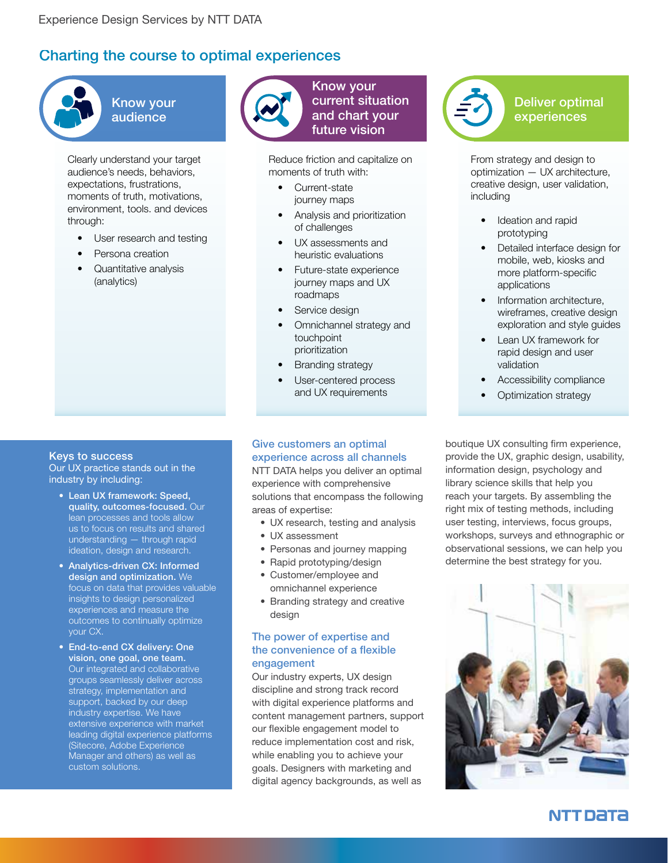# Charting the course to optimal experiences



Know your audience

Clearly understand your target audience's needs, behaviors, expectations, frustrations, moments of truth, motivations, environment, tools. and devices through:

- User research and testing
- Persona creation
- Quantitative analysis (analytics)

#### Keys to success

Our UX practice stands out in the industry by including:

- • Lean UX framework: Speed, quality, outcomes-focused. Our lean processes and tools allow us to focus on results and shared understanding — through rapid ideation, design and research.
- Analytics-driven CX: Informed design and optimization. We focus on data that provides valuable insights to design personalized experiences and measure the outcomes to continually optimize your CX.
- End-to-end CX delivery: One vision, one goal, one team. Our integrated and collaborative groups seamlessly deliver across strategy, implementation and support, backed by our deep industry expertise. We have extensive experience with market leading digital experience platforms (Sitecore, Adobe Experience Manager and others) as well as custom solutions.



Know your current situation and chart your future vision

Reduce friction and capitalize on moments of truth with:

- Current-state journey maps
- Analysis and prioritization of challenges
- UX assessments and heuristic evaluations
- Future-state experience journey maps and UX roadmaps
- Service design
- Omnichannel strategy and touchpoint prioritization
- Branding strategy
- User-centered process and UX requirements

## Give customers an optimal experience across all channels

NTT DATA helps you deliver an optimal experience with comprehensive solutions that encompass the following areas of expertise:

- UX research, testing and analysis
- • UX assessment
- Personas and journey mapping
- Rapid prototyping/design
- Customer/employee and omnichannel experience
- Branding strategy and creative design

## The power of expertise and the convenience of a flexible engagement

Our industry experts, UX design discipline and strong track record with digital experience platforms and content management partners, support our flexible engagement model to reduce implementation cost and risk, while enabling you to achieve your goals. Designers with marketing and digital agency backgrounds, as well as



Deliver optimal experiences

From strategy and design to optimization — UX architecture, creative design, user validation, including

- Ideation and rapid prototyping
- Detailed interface design for mobile, web, kiosks and more platform-specific applications
- Information architecture, wireframes, creative design exploration and style guides
- Lean UX framework for rapid design and user validation
- Accessibility compliance
- Optimization strategy

boutique UX consulting firm experience, provide the UX, graphic design, usability, information design, psychology and library science skills that help you reach your targets. By assembling the right mix of testing methods, including user testing, interviews, focus groups, workshops, surveys and ethnographic or observational sessions, we can help you determine the best strategy for you.



NTT DATA